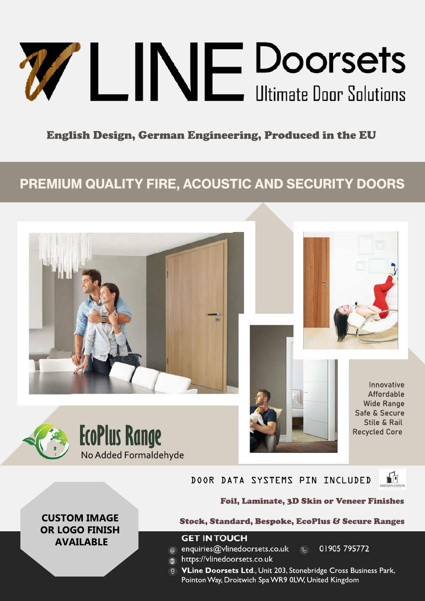# WLINE Doorsets

# English Design, German Engineering, Produced in the EU

# **PREMIUM QUALITY FIRE, ACOUSTIC AND SECURITY DOORS**







### DOOR DATA SYSTEMS PIN INCLUDED



Innovative Affordable **Wide Range** Safe&Secure Stile & Rail

Foil, Laminate, 3D Skin or Veneer Finishes

**CUSTOM IMAGE OR LOGO FINISH AVAILABLE**

### Stock, Standard, Bespoke, EcoPlus & Secure Ranges

### **GET IN TOUCH**

@ enquiries@vlinedoorsets.co.uk &

- https://vlinedoorsets.co.uk  $\bigoplus$
- 01905 795772
- 
- **VLine Doorsets Ltd., Unit 203, Stonebridge Cross Business Park,** Pointon Way, Droitwich Spa WR9 0LW, United Kingdom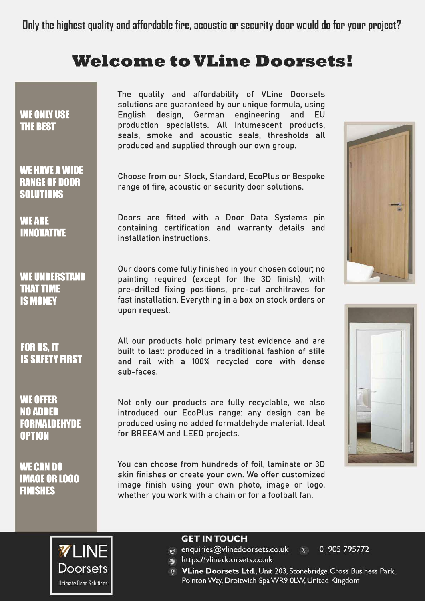# **Welcome to VLine Doorsets!**

### WE ONLY USE **THE BEST**

WE HAVE A WIDE **RANGE OF DOOR** SOLUTIONS

WEARE INNOVATIVE

WE UNDERSTAND **THAT TIME IS MONEY** 

**FOR US. IT IS SAFETY FIRST** 

WEOFFER NOADDED FORMALDEHYDE **OPTION** 

WE CAN DO **IMAGE OR LOGO** FINISHES

The quality and affordability of VLine Doorsets solutions are quaranteed by our unique formula, using English design, German engineering and EU production specialists. All intumescent products, seals, smoke and acoustic seals, thresholds all produced and supplied through our own group.

Choose from our Stock, Standard, EcoPlus or Bespoke range of fire, acoustic or security door solutions.

Doors are fitted with a Door Data Systems pin containing certification and warranty details and installation instructions.

Our doors come fully finished in your chosen colour; no painting required (except for the 3D finish), with pre-drilled fixing positions, pre-cut architraves for fast installation. Everything in a box on stock orders or upon request.

All our products hold primary test evidence and are built to last: produced in a traditional fashion of stile and rail with a 100% recycled core with dense sub-faces.

Not only our products are fully recyclable, we also introduced our EcoPlus range: any design can be produced using no added formaldehyde material. Ideal for BREEAM and LEED projects.

You can choose from hundreds of foil, laminate or 3D skin finishes or create your own. We offer customized image finish using your own photo, image or logo, whether you work with a chain or for a football fan.







### **GET IN TOUCH**

- @ enquiries@vlinedoorsets.co.uk
- https://vlinedoorsets.co.uk

01905 795772

**VLine Doorsets Ltd., Unit 203, Stonebridge Cross Business Park,** Pointon Way, Droitwich Spa WR9 0LW, United Kingdom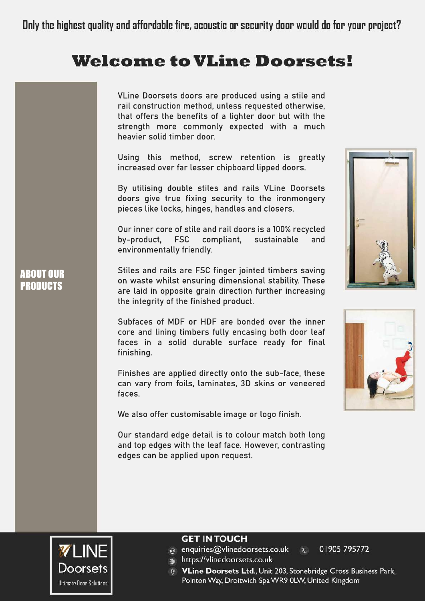# **Welcome to VLine Doorsets!**

VLine Doorsets doors are produced using a stile and rail construction method, unless requested otherwise, that offers the benefits of a lighter door but with the strength more commonly expected with a much heavier solid timber door.

Using this method, screw retention is greatly increased over far lesser chipboard lipped doors.

By utilising double stiles and rails VLine Doorsets doors give true fixing security to the ironmongery pieces like locks, hinges, handles and closers.

Our inner core of stile and rail doors is a 100% recycled by-product, FSC compliant, sustainable and environmentally friendly.

Stiles and rails are FSC finger jointed timbers saving on waste whilst ensuring dimensional stability. These are laid in opposite grain direction further increasing the integrity of the finished product.

Subfaces of MDF or HDF are bonded over the inner core and lining timbers fully encasing both door leaf faces in a solid durable surface ready for final finishing.

Finishes are applied directly onto the sub-face, these can vary from foils, laminates, 3D skins or veneered faces.

We also offer customisable image or logo finish.

Our standard edge detail is to colour match both long and top edges with the leaf face. However, contrasting edges can be applied upon request.







**ABOUT OUR PRODUCTS** 

### **GET IN TOUCH**

@ enquiries@vlinedoorsets.co.uk

 $\mathcal{Q}_{\alpha}$ 01905 795772

ttps://vlinedoorsets.co.uk

**VLine Doorsets Ltd., Unit 203, Stonebridge Cross Business Park,** 

Pointon Way, Droitwich Spa WR9 0LW, United Kingdom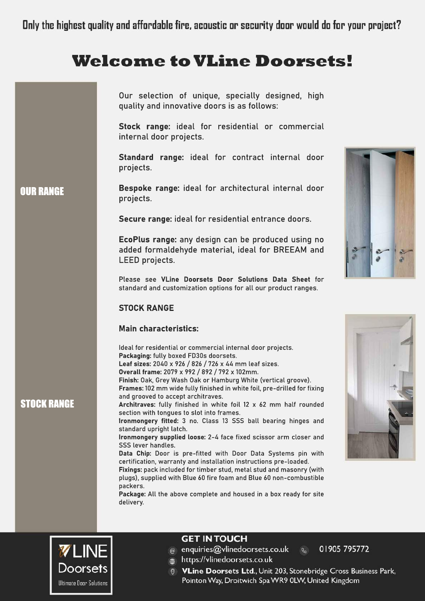# **Welcome to VLine Doorsets!**

|                    | Our selection of unique, specially designed, high<br>quality and innovative doors is as follows:<br>Stock range: ideal for residential or commercial<br>internal door projects.                                                                                                                                                                                                                                                                                                                                                                                                                                                                                                                                                                                                                                                                                                                                                                                                                                                                                                                     |  |
|--------------------|-----------------------------------------------------------------------------------------------------------------------------------------------------------------------------------------------------------------------------------------------------------------------------------------------------------------------------------------------------------------------------------------------------------------------------------------------------------------------------------------------------------------------------------------------------------------------------------------------------------------------------------------------------------------------------------------------------------------------------------------------------------------------------------------------------------------------------------------------------------------------------------------------------------------------------------------------------------------------------------------------------------------------------------------------------------------------------------------------------|--|
|                    | Standard range: ideal for contract internal door<br>projects.                                                                                                                                                                                                                                                                                                                                                                                                                                                                                                                                                                                                                                                                                                                                                                                                                                                                                                                                                                                                                                       |  |
| <b>OUR RANGE</b>   | Bespoke range: ideal for architectural internal door<br>projects.                                                                                                                                                                                                                                                                                                                                                                                                                                                                                                                                                                                                                                                                                                                                                                                                                                                                                                                                                                                                                                   |  |
|                    | Secure range: ideal for residential entrance doors.                                                                                                                                                                                                                                                                                                                                                                                                                                                                                                                                                                                                                                                                                                                                                                                                                                                                                                                                                                                                                                                 |  |
|                    | EcoPlus range: any design can be produced using no<br>added formaldehyde material, ideal for BREEAM and<br>LEED projects.                                                                                                                                                                                                                                                                                                                                                                                                                                                                                                                                                                                                                                                                                                                                                                                                                                                                                                                                                                           |  |
|                    | Please see VLine Doorsets Door Solutions Data Sheet for<br>standard and customization options for all our product ranges.                                                                                                                                                                                                                                                                                                                                                                                                                                                                                                                                                                                                                                                                                                                                                                                                                                                                                                                                                                           |  |
|                    | <b>STOCK RANGE</b>                                                                                                                                                                                                                                                                                                                                                                                                                                                                                                                                                                                                                                                                                                                                                                                                                                                                                                                                                                                                                                                                                  |  |
|                    | <b>Main characteristics:</b>                                                                                                                                                                                                                                                                                                                                                                                                                                                                                                                                                                                                                                                                                                                                                                                                                                                                                                                                                                                                                                                                        |  |
| <b>STOCK RANGE</b> | Ideal for residential or commercial internal door projects.<br>Packaging: fully boxed FD30s doorsets.<br>Leaf sizes: 2040 x 926 / 826 / 726 x 44 mm leaf sizes.<br>Overall frame: 2079 x 992 / 892 / 792 x 102mm.<br>Finish: Oak, Grey Wash Oak or Hamburg White (vertical groove).<br>Frames: 102 mm wide fully finished in white foil, pre-drilled for fixing<br>and grooved to accept architraves.<br>Architraves: fully finished in white foil 12 x 62 mm half rounded<br>section with tongues to slot into frames.<br>Ironmongery fitted: 3 no. Class 13 SSS ball bearing hinges and<br>standard upright latch.<br>Ironmongery supplied loose: 2-4 face fixed scissor arm closer and<br>SSS lever handles.<br>Data Chip: Door is pre-fitted with Door Data Systems pin with<br>certification, warranty and installation instructions pre-loaded.<br>Fixings: pack included for timber stud, metal stud and masonry (with<br>plugs), supplied with Blue 60 fire foam and Blue 60 non-combustible<br>packers.<br>Package: All the above complete and housed in a box ready for site<br>delivery. |  |
|                    |                                                                                                                                                                                                                                                                                                                                                                                                                                                                                                                                                                                                                                                                                                                                                                                                                                                                                                                                                                                                                                                                                                     |  |



@ enquiries@vlinedoorsets.co.uk

https://vlinedoorsets.co.uk

01905 795772

**VLine Doorsets Ltd., Unit 203, Stonebridge Cross Business Park,** Pointon Way, Droitwich Spa WR9 0LW, United Kingdom

 $\mathcal{G}$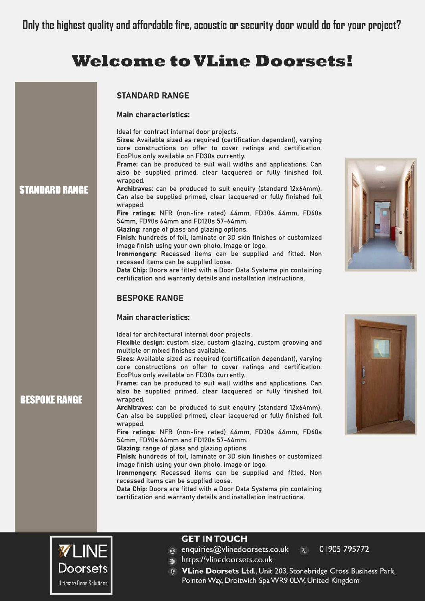# **Welcome to VLine Doorsets!**

|                 | <b>STANDARD RANGE</b>                                                                                                                                                                                                                                                                                                                                                                                                                                                                                                                                                                                                                                                                                                                                                                                                                                                                                                                                                                                                                                                                 |
|-----------------|---------------------------------------------------------------------------------------------------------------------------------------------------------------------------------------------------------------------------------------------------------------------------------------------------------------------------------------------------------------------------------------------------------------------------------------------------------------------------------------------------------------------------------------------------------------------------------------------------------------------------------------------------------------------------------------------------------------------------------------------------------------------------------------------------------------------------------------------------------------------------------------------------------------------------------------------------------------------------------------------------------------------------------------------------------------------------------------|
|                 | <b>Main characteristics:</b>                                                                                                                                                                                                                                                                                                                                                                                                                                                                                                                                                                                                                                                                                                                                                                                                                                                                                                                                                                                                                                                          |
| <b>RD RANGE</b> | Ideal for contract internal door projects.<br>Sizes: Available sized as required (certification dependant), varying<br>core constructions on offer to cover ratings and certification.<br>EcoPlus only available on FD30s currently.<br>Frame: can be produced to suit wall widths and applications. Can<br>also be supplied primed, clear lacquered or fully finished foil<br>wrapped.<br>Architraves: can be produced to suit enquiry (standard 12x64mm).<br>Can also be supplied primed, clear lacquered or fully finished foil<br>wrapped.<br>Fire ratings: NFR (non-fire rated) 44mm, FD30s 44mm, FD60s<br>54mm, FD90s 64mm and FD120s 57-64mm.<br>Glazing: range of glass and glazing options.<br>Finish: hundreds of foil, laminate or 3D skin finishes or customized<br>image finish using your own photo, image or logo.<br>Ironmongery: Recessed items can be supplied and fitted. Non<br>recessed items can be supplied loose.<br>Data Chip: Doors are fitted with a Door Data Systems pin containing<br>certification and warranty details and installation instructions. |
|                 | <b>BESPOKE RANGE</b>                                                                                                                                                                                                                                                                                                                                                                                                                                                                                                                                                                                                                                                                                                                                                                                                                                                                                                                                                                                                                                                                  |
|                 | <b>Main characteristics:</b>                                                                                                                                                                                                                                                                                                                                                                                                                                                                                                                                                                                                                                                                                                                                                                                                                                                                                                                                                                                                                                                          |
| ERANG:          | Ideal for architectural internal door projects.<br>Flexible design: custom size, custom glazing, custom grooving and<br>multiple or mixed finishes available.<br>Sizes: Available sized as required (certification dependant), varying<br>core constructions on offer to cover ratings and certification.<br>EcoPlus only available on FD30s currently.<br>Frame: can be produced to suit wall widths and applications. Can<br>also be supplied primed, clear lacquered or fully finished foil<br>wrapped.<br>Architraves: can be produced to suit enquiry (standard 12x64mm).<br>Can also be supplied primed, clear lacquered or fully finished foil<br>wrapped.<br>Fire ratings: NFR (non-fire rated) 44mm, FD30s 44mm, FD60s<br>54mm, FD90s 64mm and FD120s 57-64mm.<br>Glazing: range of glass and glazing options.<br>Finish: hundreds of foil, laminate or 3D skin finishes or customized<br>image finish using your own photo, image or logo.<br>Ironmongery: Recessed items can be supplied and fitted. Non<br>recessed items can be supplied loose.                          |
|                 | Data Chip: Doors are fitted with a Door Data Systems pin containing<br>certification and warranty details and installation instructions.                                                                                                                                                                                                                                                                                                                                                                                                                                                                                                                                                                                                                                                                                                                                                                                                                                                                                                                                              |



**STANDA** 

**BESPOI** 

### **GET IN TOUCH**

enquiries@vlinedoorsets.co.uk  $\omega$ 

01905 795772

https://vlinedoorsets.co.uk  $\oplus$ 



 $\mathcal{Q}$ 

**VLine Doorsets Ltd., Unit 203, Stonebridge Cross Business Park,** Pointon Way, Droitwich Spa WR9 0LW, United Kingdom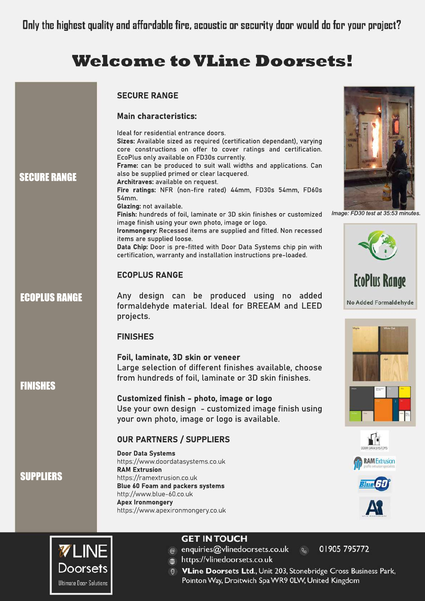# **Welcome to VLine Doorsets!**

| <b>SECURE RANGE</b>  | <b>SECURE RANGE</b><br><b>Main characteristics:</b><br>Ideal for residential entrance doors.<br>Sizes: Available sized as required (certification dependant), varying<br>core constructions on offer to cover ratings and certification.<br>EcoPlus only available on FD30s currently.<br>Frame: can be produced to suit wall widths and applications. Can<br>also be supplied primed or clear lacquered.<br>Architraves: available on request.<br>Fire ratings: NFR (non-fire rated) 44mm, FD30s 54mm, FD60s<br>54mm.<br>Glazing: not available.<br>Finish: hundreds of foil, laminate or 3D skin finishes or customized<br>image finish using your own photo, image or logo. | Image: FD30 test at 35:53 mir |
|----------------------|--------------------------------------------------------------------------------------------------------------------------------------------------------------------------------------------------------------------------------------------------------------------------------------------------------------------------------------------------------------------------------------------------------------------------------------------------------------------------------------------------------------------------------------------------------------------------------------------------------------------------------------------------------------------------------|-------------------------------|
|                      | Ironmongery: Recessed items are supplied and fitted. Non recessed<br>items are supplied loose.<br>Data Chip: Door is pre-fitted with Door Data Systems chip pin with<br>certification, warranty and installation instructions pre-loaded.                                                                                                                                                                                                                                                                                                                                                                                                                                      |                               |
|                      | <b>ECOPLUS RANGE</b>                                                                                                                                                                                                                                                                                                                                                                                                                                                                                                                                                                                                                                                           | <b>EcoPlus Range</b>          |
| <b>ECOPLUS RANGE</b> | Any design can be produced using no added<br>formaldehyde material. Ideal for BREEAM and LEED<br>projects.                                                                                                                                                                                                                                                                                                                                                                                                                                                                                                                                                                     | No Added Formaldehy           |
|                      | <b>FINISHES</b>                                                                                                                                                                                                                                                                                                                                                                                                                                                                                                                                                                                                                                                                |                               |
| <b>FINISHES</b>      | Foil, laminate, 3D skin or veneer<br>Large selection of different finishes available, choose<br>from hundreds of foil, laminate or 3D skin finishes.                                                                                                                                                                                                                                                                                                                                                                                                                                                                                                                           |                               |
|                      | Customized finish - photo, image or logo<br>Use your own design - customized image finish using<br>your own photo, image or logo is available.                                                                                                                                                                                                                                                                                                                                                                                                                                                                                                                                 |                               |
|                      | <b>OUR PARTNERS / SUPPLIERS</b>                                                                                                                                                                                                                                                                                                                                                                                                                                                                                                                                                                                                                                                |                               |
|                      | <b>Door Data Systems</b><br>https://www.doordatasystems.co.uk                                                                                                                                                                                                                                                                                                                                                                                                                                                                                                                                                                                                                  | <b>RAM Extrusion</b>          |
| <b>SUPPLIERS</b>     | <b>RAM Extrusion</b>                                                                                                                                                                                                                                                                                                                                                                                                                                                                                                                                                                                                                                                           |                               |
|                      | https://ramextrusion.co.uk<br>Blue 60 Foam and packers systems                                                                                                                                                                                                                                                                                                                                                                                                                                                                                                                                                                                                                 |                               |
|                      | http://www.blue-60.co.uk<br><b>Apex Ironmongery</b><br>https://www.apexironmongery.co.uk                                                                                                                                                                                                                                                                                                                                                                                                                                                                                                                                                                                       |                               |
|                      | <b>GET INTOUCH</b>                                                                                                                                                                                                                                                                                                                                                                                                                                                                                                                                                                                                                                                             |                               |
| <b>VLINE</b>         | enquiries@vlinedoorsets.co.uk<br>$\mathcal{G}$<br>https://vlinedoorsets.co.uk                                                                                                                                                                                                                                                                                                                                                                                                                                                                                                                                                                                                  | 01905 795772                  |



- 
- https://vlinedoorsets.co.uk

Pointon Way, Droitwich Spa WR9 0LW, United Kingdom

**VLine Doorsets Ltd., Unit 203, Stonebridge Cross Business Park,** 



*nutes.* 

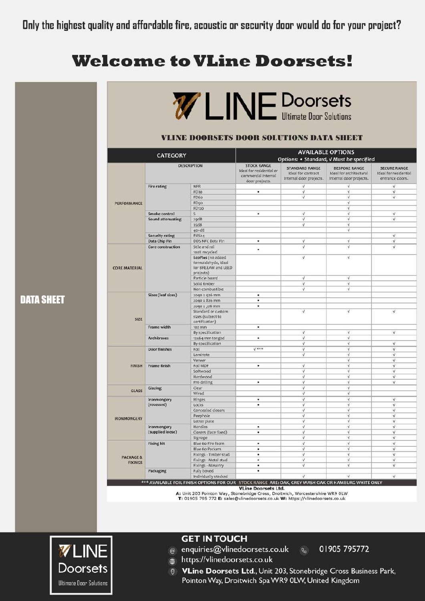# **Welcome to VLine Doorsets!**

|                      |                                        | <b>WLINE Doorsets</b>                                                        |                                                                                         |                                                                        |                                                                            |                                                                 |
|----------------------|----------------------------------------|------------------------------------------------------------------------------|-----------------------------------------------------------------------------------------|------------------------------------------------------------------------|----------------------------------------------------------------------------|-----------------------------------------------------------------|
|                      |                                        | VLINE DOORSETS DOOR SOLUTIONS DATA SHEET                                     |                                                                                         |                                                                        |                                                                            |                                                                 |
|                      | <b>CATEGORY</b>                        |                                                                              | <b>AVAILABLE OPTIONS</b><br>Options: • Standard, V Must be specified                    |                                                                        |                                                                            |                                                                 |
|                      | <b>DESCRIPTION</b>                     |                                                                              | <b>STOCK RANGE</b><br>Ideal for residential or<br>commercial internal<br>door projects. | <b>STANDARD RANGE</b><br>Ideal for contract<br>internal door projects. | <b>BESPOKE RANGE</b><br>Ideal for architectural<br>internal door projects. | <b>SECURE RANGE</b><br>Ideal for residential<br>entrance doors. |
|                      | <b>Fire rating</b>                     | <b>NFR</b>                                                                   |                                                                                         | V.                                                                     | Ý.                                                                         | $\sqrt{}$                                                       |
|                      |                                        | FD30                                                                         | ٠                                                                                       | V.                                                                     | $\sqrt{ }$                                                                 | $\sqrt{}$                                                       |
|                      |                                        | FD6o                                                                         |                                                                                         | V                                                                      | $\sqrt{}$                                                                  | v                                                               |
| PERFORMANCE          |                                        | FD90                                                                         |                                                                                         |                                                                        | V                                                                          |                                                                 |
|                      |                                        | FD120                                                                        |                                                                                         |                                                                        | v.                                                                         |                                                                 |
|                      | Smoke control                          | $\mathsf{S}$                                                                 | ۰                                                                                       | V                                                                      | $\sqrt{}$                                                                  | $\sqrt{ }$                                                      |
|                      | Sound attenuating                      | 29dB                                                                         |                                                                                         | V                                                                      | V                                                                          | $\checkmark$                                                    |
|                      |                                        | 35dB                                                                         |                                                                                         | V                                                                      | v.                                                                         |                                                                 |
|                      |                                        | $40 + dB$                                                                    |                                                                                         |                                                                        | V                                                                          |                                                                 |
|                      | <b>Security rating</b>                 | PAS <sub>24</sub>                                                            |                                                                                         |                                                                        |                                                                            | $\sqrt{ }$                                                      |
|                      | Data Chip Pin                          | DDS NFC Data Pin                                                             | ٠                                                                                       | V                                                                      | v.                                                                         | $\sqrt{ }$                                                      |
|                      | Core construction                      | Stile and rail<br>100% recycled                                              |                                                                                         | $\sqrt{ }$                                                             | v.                                                                         | <b>V</b>                                                        |
| <b>CORE MATERIAL</b> |                                        | EcoPlus (no added<br>formaldehyde, ideal<br>for BREEAM and LEED<br>projects) |                                                                                         | $\sqrt{ }$                                                             | v                                                                          |                                                                 |
|                      |                                        | Particle board                                                               |                                                                                         | v                                                                      | v.                                                                         |                                                                 |
|                      |                                        | Solid timber                                                                 |                                                                                         | ý                                                                      | v.                                                                         |                                                                 |
|                      |                                        | Non-combustible                                                              |                                                                                         | V                                                                      | V                                                                          |                                                                 |
|                      | Sizes (leaf sizes)                     | 2040 x 926 mm                                                                | ٠                                                                                       |                                                                        |                                                                            |                                                                 |
|                      |                                        | 2040 x 826 mm                                                                | ٠                                                                                       |                                                                        |                                                                            |                                                                 |
| SIZE                 |                                        | 2040 x 726 mm<br>Standard or custom<br>sizes (subject to                     |                                                                                         | $\sqrt{ }$                                                             | $\sqrt{}$                                                                  | $\sqrt{ }$                                                      |
|                      | Frame width                            | certification)<br>102 mm                                                     | ۰                                                                                       |                                                                        |                                                                            |                                                                 |
|                      |                                        | By specification                                                             |                                                                                         | V                                                                      | v.                                                                         | V                                                               |
|                      | <b>Architraves</b>                     | 12x64 mm tonged                                                              | ٠                                                                                       | $\sqrt{}$                                                              | $\sqrt{ }$                                                                 |                                                                 |
|                      |                                        | By specification                                                             |                                                                                         | $\sqrt{}$                                                              | $\sqrt{}$                                                                  | $\sqrt{}$                                                       |
|                      | <b>Door finishes</b>                   | Foil                                                                         | $V$ ***                                                                                 | v                                                                      | v.                                                                         | v                                                               |
|                      |                                        | Laminate                                                                     |                                                                                         | $\sqrt{ }$                                                             | v.                                                                         | $\sqrt{ }$                                                      |
|                      |                                        | Veneer                                                                       |                                                                                         |                                                                        | v.                                                                         | $\sqrt{ }$                                                      |
| <b>FINISH</b>        | <b>Frame finish</b>                    | Foil MDF                                                                     | ٠                                                                                       | $\sqrt{ }$                                                             | $\sqrt{}$                                                                  | $\sqrt{}$                                                       |
|                      |                                        | Softwood                                                                     |                                                                                         | V                                                                      | V                                                                          | $\sqrt{}$                                                       |
|                      |                                        | Hardwood                                                                     |                                                                                         | $\sqrt{ }$                                                             | V                                                                          | $\vee$                                                          |
|                      |                                        | Pre-drilling                                                                 | ٠                                                                                       | V                                                                      | $\sqrt{}$                                                                  | $\sqrt{}$                                                       |
| <b>GLASS</b>         | Glazing                                | Clear                                                                        |                                                                                         | V                                                                      | $\sqrt{}$                                                                  |                                                                 |
|                      |                                        | Wired                                                                        |                                                                                         | V                                                                      | v.                                                                         |                                                                 |
|                      | <b>Ironmongery</b>                     | Hinges                                                                       | ٠                                                                                       | $\sqrt{ }$                                                             | $\sqrt{ }$                                                                 | V                                                               |
|                      | (recessed)                             | Locks                                                                        | ٠                                                                                       | V                                                                      | $\sqrt{}$                                                                  | V.                                                              |
|                      |                                        | Concealed closers                                                            |                                                                                         | V                                                                      | V                                                                          | V.                                                              |
| <b>IRONMONGERY</b>   |                                        | Peephole<br>Letter plate                                                     |                                                                                         | ý<br>$\sqrt{ }$                                                        | $\sqrt{}$<br>$\checkmark$                                                  | V<br>$\checkmark$                                               |
|                      |                                        | Handles                                                                      | ٠                                                                                       | V                                                                      | <b>V</b>                                                                   | $\sqrt{}$                                                       |
|                      | <b>Ironmongery</b><br>(supplied loose) | Closers (face fixed)                                                         | ۰                                                                                       | V.                                                                     | $\sqrt{}$                                                                  | v                                                               |
|                      |                                        | Signage                                                                      |                                                                                         | V.                                                                     | v.                                                                         | $\sqrt{ }$                                                      |
|                      | <b>Fixing kit</b>                      | Blue 60 Fire foam                                                            | ٠                                                                                       | V.                                                                     | <b>V</b>                                                                   | v                                                               |
|                      |                                        | Blue 60 Packers                                                              | ٠                                                                                       | V                                                                      | $\sqrt{}$                                                                  | V                                                               |
|                      |                                        | Fixings - Timber stud                                                        | ٠                                                                                       | $\checkmark$                                                           | v                                                                          | $\checkmark$                                                    |
| PACKAGE &            |                                        | Fixings - Metal stud                                                         | ٠                                                                                       | $\sqrt{}$                                                              | $\sqrt{}$                                                                  | $\sqrt{}$                                                       |
| <b>FIXINGS</b>       |                                        | Fixings - Masonry                                                            | ۰                                                                                       | V.                                                                     | ٧                                                                          | ٧                                                               |
|                      | Packaging                              | Fully boxed                                                                  | ٠                                                                                       |                                                                        |                                                                            |                                                                 |
|                      |                                        | Individually stacked                                                         |                                                                                         | V                                                                      | v.                                                                         | $\sqrt{ }$                                                      |

**VLine Doorsets Ltd.** 

A: Unit 203 Pointon Way, Stonebridge Cross, Droitwich, Worcestershire WR9 0LW T: 01905 795 772 E: sales@vlinedoorsets.co.uk W: https://vlinedoorsets.co.uk



### **GET IN TOUCH**

 $\circledcirc$  enquiries@vlinedoorsets.co.uk  $\circledcirc$ 

01905 795772

- ttps://vlinedoorsets.co.uk
- **VLine Doorsets Ltd., Unit 203, Stonebridge Cross Business Park,** Pointon Way, Droitwich Spa WR9 0LW, United Kingdom

**DATA SHEET**